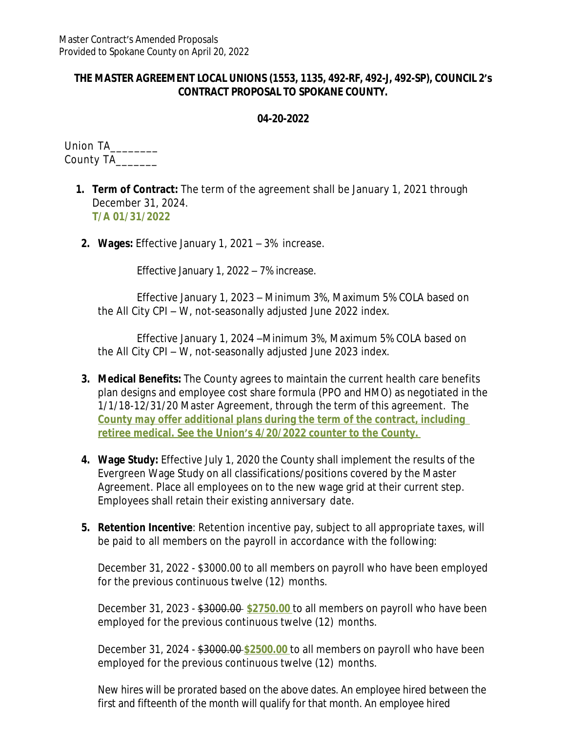## **THE MASTER AGREEMENT LOCAL UNIONS (1553, 1135, 492-RF, 492-J, 492-SP), COUNCIL 2's CONTRACT PROPOSAL TO SPOKANE COUNTY.**

## **04-20-2022**

Union TA\_\_\_\_\_\_\_\_ County TA\_\_\_\_\_\_\_

- **1. Term of Contract:** The term of the agreement shall be January 1, 2021 through December 31, 2024. **T/A 01/31/2022**
- **2. Wages:** Effective January 1, 2021 3% increase.

Effective January 1, 2022 – 7% increase.

Effective January 1, 2023 – Minimum 3%, Maximum 5% COLA based on the All City CPI – W, not-seasonally adjusted June 2022 index.

Effective January 1, 2024 –Minimum 3%, Maximum 5% COLA based on the All City CPI – W, not-seasonally adjusted June 2023 index.

- **3. Medical Benefits:** The County agrees to maintain the current health care benefits plan designs and employee cost share formula (PPO and HMO) as negotiated in the 1/1/18-12/31/20 Master Agreement, through the term of this agreement. The **County may offer additional plans during the term of the contract, including retiree medical. See the Union's 4/20/2022 counter to the County.**
- **4. Wage Study:** Effective July 1, 2020 the County shall implement the results of the Evergreen Wage Study on all classifications/positions covered by the Master Agreement. Place all employees on to the new wage grid at their current step. Employees shall retain their existing anniversary date.
- **5. Retention Incentive**: Retention incentive pay, subject to all appropriate taxes, will be paid to all members on the payroll in accordance with the following:

December 31, 2022 - \$3000.00 to all members on payroll who have been employed for the previous continuous twelve (12) months.

December 31, 2023 - \$3000.00 **\$2750.00** to all members on payroll who have been employed for the previous continuous twelve (12) months.

December 31, 2024 - \$3000.00 **\$2500.00** to all members on payroll who have been employed for the previous continuous twelve (12) months.

New hires will be prorated based on the above dates. An employee hired between the first and fifteenth of the month will qualify for that month. An employee hired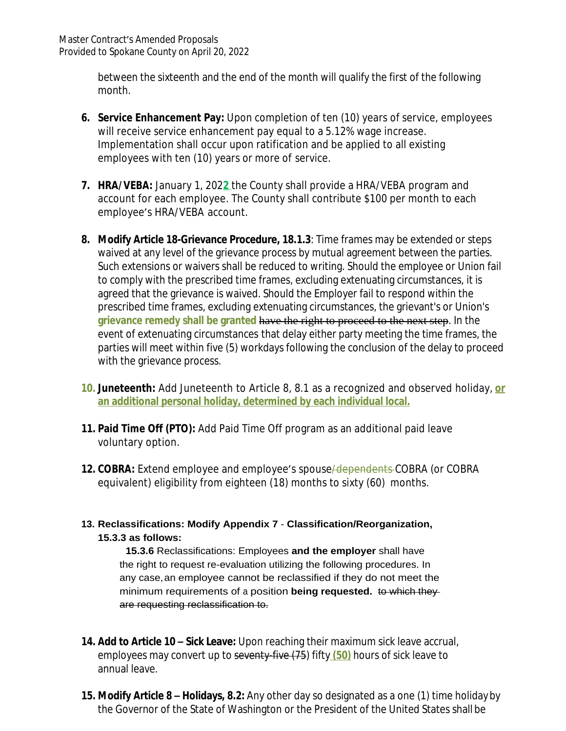between the sixteenth and the end of the month will qualify the first of the following month.

- **6. Service Enhancement Pay:** Upon completion of ten (10) years of service, employees will receive service enhancement pay equal to a 5.12% wage increase. Implementation shall occur upon ratification and be applied to all existing employees with ten (10) years or more of service.
- **7. HRA/VEBA:** January 1, 202**2** the County shall provide a HRA/VEBA program and account for each employee. The County shall contribute \$100 per month to each employee's HRA/VEBA account.
- **8. Modify Article 18-Grievance Procedure, 18.1.3**: Time frames may be extended or steps waived at any level of the grievance process by mutual agreement between the parties. Such extensions or waivers shall be reduced to writing. Should the employee or Union fail to comply with the prescribed time frames, excluding extenuating circumstances, it is agreed that the grievance is waived. Should the Employer fail to respond within the prescribed time frames, excluding extenuating circumstances, the grievant's or Union's **grievance remedy shall be granted** have the right to proceed to the next step. In the event of extenuating circumstances that delay either party meeting the time frames, the parties will meet within five (5) workdays following the conclusion of the delay to proceed with the grievance process.
- **10. Juneteenth:** Add Juneteenth to Article 8, 8.1 as a recognized and observed holiday, **or an additional personal holiday, determined by each individual local.**
- **11. Paid Time Off (PTO):** Add Paid Time Off program as an additional paid leave voluntary option.
- **12. COBRA:** Extend employee and employee's spouse/dependents COBRA (or COBRA equivalent) eligibility from eighteen (18) months to sixty (60) months.
- **13. Reclassifications: Modify Appendix 7 Classification/Reorganization, 15.3.3 as follows:**

**15.3.6** Reclassifications: Employees **and the employer** shall have the right to request re-evaluation utilizing the following procedures. In any case,an employee cannot be reclassified if they do not meet the minimum requirements of a position **being requested.** to which they are requesting reclassification to.

- **14. Add to Article 10 – Sick Leave:** Upon reaching their maximum sick leave accrual, employees may convert up to seventy-five (75) fifty **(50)** hours of sick leave to annual leave.
- **15. Modify Article 8 – Holidays, 8.2:** Any other day so designated as a one (1) time holidayby the Governor of the State of Washington or the President of the United States shall be